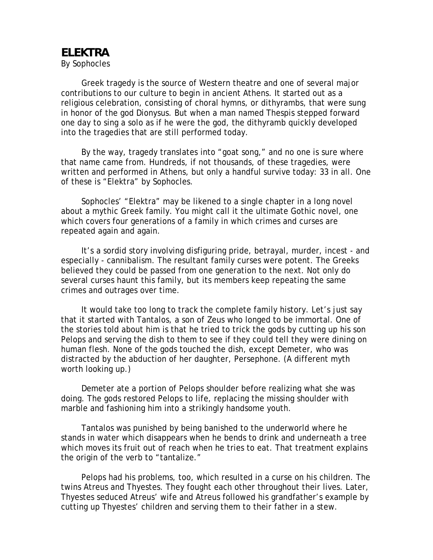## **ELEKTRA**

By Sophocles

 Greek tragedy is the source of Western theatre and one of several major contributions to our culture to begin in ancient Athens. It started out as a religious celebration, consisting of choral hymns, or dithyrambs, that were sung in honor of the god Dionysus. But when a man named Thespis stepped forward one day to sing a solo as if he were the god, the dithyramb quickly developed into the tragedies that are still performed today.

 By the way, tragedy translates into "goat song," and no one is sure where that name came from. Hundreds, if not thousands, of these tragedies, were written and performed in Athens, but only a handful survive today: 33 in all. One of these is "Elektra" by Sophocles.

 Sophocles' "Elektra" may be likened to a single chapter in a long novel about a mythic Greek family. You might call it the ultimate Gothic novel, one which covers four generations of a family in which crimes and curses are repeated again and again.

 It's a sordid story involving disfiguring pride, betrayal, murder, incest - and especially - cannibalism. The resultant family curses were potent. The Greeks believed they could be passed from one generation to the next. Not only do several curses haunt this family, but its members keep repeating the same crimes and outrages over time.

 It would take too long to track the complete family history. Let's just say that it started with Tantalos, a son of Zeus who longed to be immortal. One of the stories told about him is that he tried to trick the gods by cutting up his son Pelops and serving the dish to them to see if they could tell they were dining on human flesh. None of the gods touched the dish, except Demeter, who was distracted by the abduction of her daughter, Persephone. (A different myth worth looking up.)

 Demeter ate a portion of Pelops shoulder before realizing what she was doing. The gods restored Pelops to life, replacing the missing shoulder with marble and fashioning him into a strikingly handsome youth.

 Tantalos was punished by being banished to the underworld where he stands in water which disappears when he bends to drink and underneath a tree which moves its fruit out of reach when he tries to eat. That treatment explains the origin of the verb to "tantalize."

 Pelops had his problems, too, which resulted in a curse on his children. The twins Atreus and Thyestes. They fought each other throughout their lives. Later, Thyestes seduced Atreus' wife and Atreus followed his grandfather's example by cutting up Thyestes' children and serving them to their father in a stew.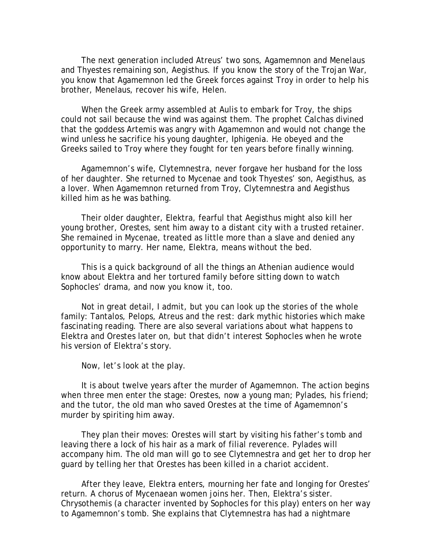The next generation included Atreus' two sons, Agamemnon and Menelaus and Thyestes remaining son, Aegisthus. If you know the story of the Trojan War, you know that Agamemnon led the Greek forces against Troy in order to help his brother, Menelaus, recover his wife, Helen.

 When the Greek army assembled at Aulis to embark for Troy, the ships could not sail because the wind was against them. The prophet Calchas divined that the goddess Artemis was angry with Agamemnon and would not change the wind unless he sacrifice his young daughter, Iphigenia. He obeyed and the Greeks sailed to Troy where they fought for ten years before finally winning.

 Agamemnon's wife, Clytemnestra, never forgave her husband for the loss of her daughter. She returned to Mycenae and took Thyestes' son, Aegisthus, as a lover. When Agamemnon returned from Troy, Clytemnestra and Aegisthus killed him as he was bathing.

 Their older daughter, Elektra, fearful that Aegisthus might also kill her young brother, Orestes, sent him away to a distant city with a trusted retainer. She remained in Mycenae, treated as little more than a slave and denied any opportunity to marry. Her name, Elektra, means without the bed.

 This is a quick background of all the things an Athenian audience would know about Elektra and her tortured family before sitting down to watch Sophocles' drama, and now you know it, too.

 Not in great detail, I admit, but you can look up the stories of the whole family: Tantalos, Pelops, Atreus and the rest: dark mythic histories which make fascinating reading. There are also several variations about what happens to Elektra and Orestes later on, but that didn't interest Sophocles when he wrote his version of Elektra's story.

Now, let's look at the play.

 It is about twelve years after the murder of Agamemnon. The action begins when three men enter the stage: Orestes, now a young man; Pylades, his friend; and the tutor, the old man who saved Orestes at the time of Agamemnon's murder by spiriting him away.

 They plan their moves: Orestes will start by visiting his father's tomb and leaving there a lock of his hair as a mark of filial reverence. Pylades will accompany him. The old man will go to see Clytemnestra and get her to drop her guard by telling her that Orestes has been killed in a chariot accident.

 After they leave, Elektra enters, mourning her fate and longing for Orestes' return. A chorus of Mycenaean women joins her. Then, Elektra's sister. Chrysothemis (a character invented by Sophocles for this play) enters on her way to Agamemnon's tomb. She explains that Clytemnestra has had a nightmare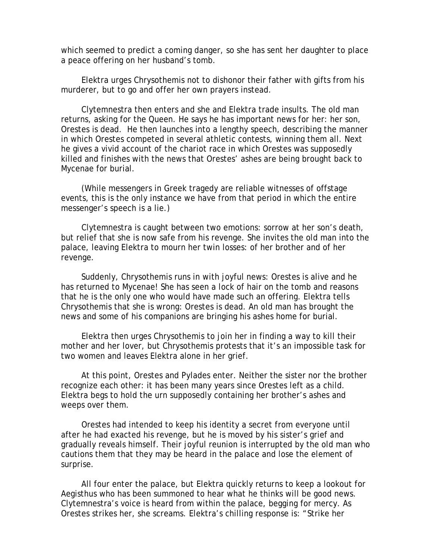which seemed to predict a coming danger, so she has sent her daughter to place a peace offering on her husband's tomb.

 Elektra urges Chrysothemis not to dishonor their father with gifts from his murderer, but to go and offer her own prayers instead.

 Clytemnestra then enters and she and Elektra trade insults. The old man returns, asking for the Queen. He says he has important news for her: her son, Orestes is dead. He then launches into a lengthy speech, describing the manner in which Orestes competed in several athletic contests, winning them all. Next he gives a vivid account of the chariot race in which Orestes was supposedly killed and finishes with the news that Orestes' ashes are being brought back to Mycenae for burial.

 (While messengers in Greek tragedy are reliable witnesses of offstage events, this is the only instance we have from that period in which the entire messenger's speech is a lie.)

 Clytemnestra is caught between two emotions: sorrow at her son's death, but relief that she is now safe from his revenge. She invites the old man into the palace, leaving Elektra to mourn her twin losses: of her brother and of her revenge.

 Suddenly, Chrysothemis runs in with joyful news: Orestes is alive and he has returned to Mycenae! She has seen a lock of hair on the tomb and reasons that he is the only one who would have made such an offering. Elektra tells Chrysothemis that she is wrong: Orestes is dead. An old man has brought the news and some of his companions are bringing his ashes home for burial.

 Elektra then urges Chrysothemis to join her in finding a way to kill their mother and her lover, but Chrysothemis protests that it's an impossible task for two women and leaves Elektra alone in her grief.

 At this point, Orestes and Pylades enter. Neither the sister nor the brother recognize each other: it has been many years since Orestes left as a child. Elektra begs to hold the urn supposedly containing her brother's ashes and weeps over them.

 Orestes had intended to keep his identity a secret from everyone until after he had exacted his revenge, but he is moved by his sister's grief and gradually reveals himself. Their joyful reunion is interrupted by the old man who cautions them that they may be heard in the palace and lose the element of surprise.

 All four enter the palace, but Elektra quickly returns to keep a lookout for Aegisthus who has been summoned to hear what he thinks will be good news. Clytemnestra's voice is heard from within the palace, begging for mercy. As Orestes strikes her, she screams. Elektra's chilling response is: "Strike her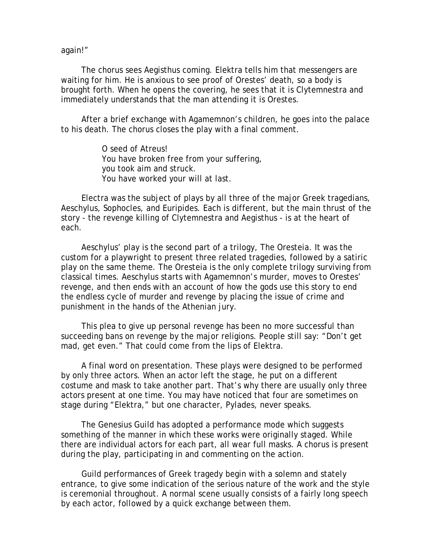again!"

 The chorus sees Aegisthus coming. Elektra tells him that messengers are waiting for him. He is anxious to see proof of Orestes' death, so a body is brought forth. When he opens the covering, he sees that it is Clytemnestra and immediately understands that the man attending it is Orestes.

 After a brief exchange with Agamemnon's children, he goes into the palace to his death. The chorus closes the play with a final comment.

> O seed of Atreus! You have broken free from your suffering, you took aim and struck. You have worked your will at last.

 Electra was the subject of plays by all three of the major Greek tragedians, Aeschylus, Sophocles, and Euripides. Each is different, but the main thrust of the story - the revenge killing of Clytemnestra and Aegisthus - is at the heart of each.

 Aeschylus' play is the second part of a trilogy, The Oresteia. It was the custom for a playwright to present three related tragedies, followed by a satiric play on the same theme. The Oresteia is the only complete trilogy surviving from classical times. Aeschylus starts with Agamemnon's murder, moves to Orestes' revenge, and then ends with an account of how the gods use this story to end the endless cycle of murder and revenge by placing the issue of crime and punishment in the hands of the Athenian jury.

 This plea to give up personal revenge has been no more successful than succeeding bans on revenge by the major religions. People still say: "Don't get mad, get even." That could come from the lips of Elektra.

 A final word on presentation. These plays were designed to be performed by only three actors. When an actor left the stage, he put on a different costume and mask to take another part. That's why there are usually only three actors present at one time. You may have noticed that four are sometimes on stage during "Elektra," but one character, Pylades, never speaks.

 The Genesius Guild has adopted a performance mode which suggests something of the manner in which these works were originally staged. While there are individual actors for each part, all wear full masks. A chorus is present during the play, participating in and commenting on the action.

 Guild performances of Greek tragedy begin with a solemn and stately entrance, to give some indication of the serious nature of the work and the style is ceremonial throughout. A normal scene usually consists of a fairly long speech by each actor, followed by a quick exchange between them.